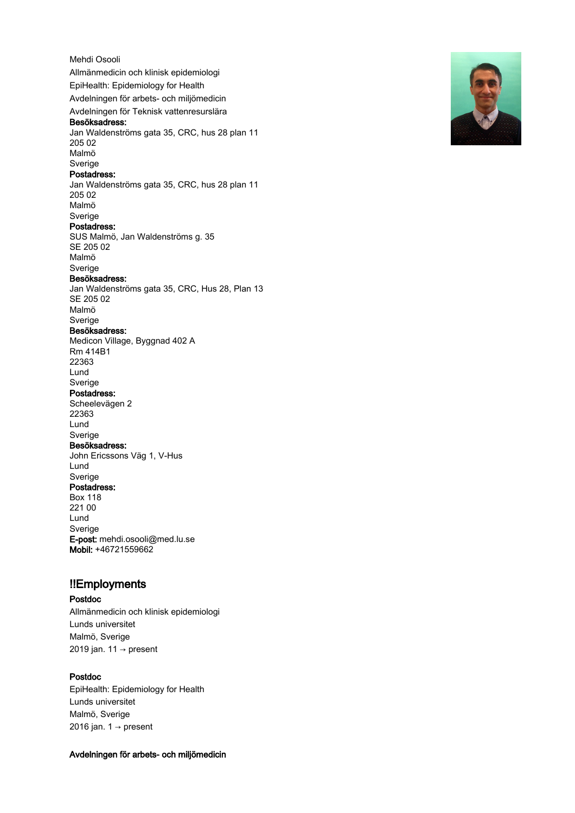Mehdi Osooli Allmänmedicin och klinisk epidemiologi EpiHealth: Epidemiology for Health Avdelningen för arbets- och miljömedicin Avdelningen för Teknisk vattenresurslära Besöksadress: Jan Waldenströms gata 35, CRC, hus 28 plan 11 205 02 Malmö Sverige Postadress: Jan Waldenströms gata 35, CRC, hus 28 plan 11 205 02 Malmö Sverige Postadress: SUS Malmö, Jan Waldenströms g. 35 SE 205 02 Malmö Sverige Besöksadress: Jan Waldenströms gata 35, CRC, Hus 28, Plan 13 SE 205 02 Malmö Sverige Besöksadress: Medicon Village, Byggnad 402 A Rm 414B1 22363 Lund Sverige Postadress: Scheelevägen 2 22363 Lund Sverige Besöksadress: John Ericssons Väg 1, V-Hus Lund Sverige Postadress: Box 118 221 00 Lund Sverige E-post: mehdi.osooli@med.lu.se Mobil: +46721559662

# !!Employments

# Postdoc

Allmänmedicin och klinisk epidemiologi Lunds universitet Malmö, Sverige 2019 jan. 11 → present

# Postdoc

EpiHealth: Epidemiology for Health Lunds universitet Malmö, Sverige 2016 jan.  $1 \rightarrow$  present

# Avdelningen för arbets- och miljömedicin

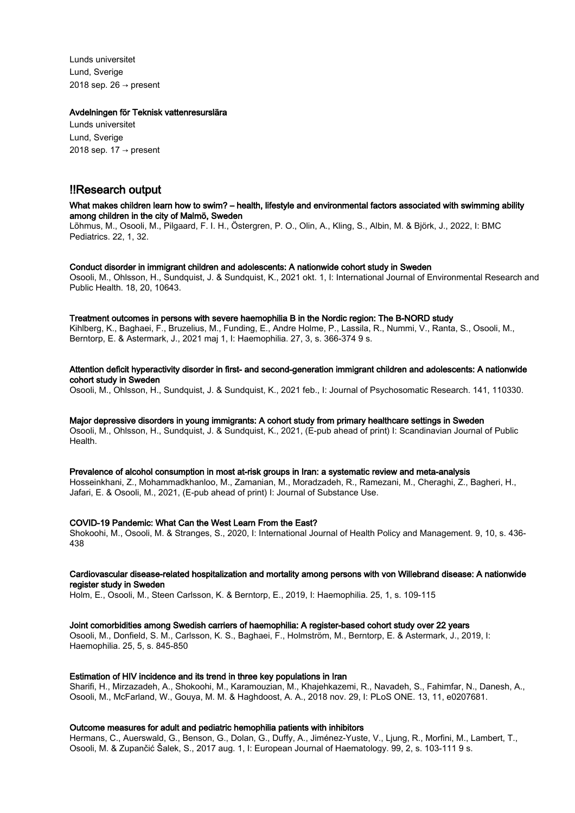Lunds universitet Lund, Sverige 2018 sep. 26  $\rightarrow$  present

#### Avdelningen för Teknisk vattenresurslära

Lunds universitet Lund, Sverige 2018 sep. 17  $\rightarrow$  present

# !!Research output

# What makes children learn how to swim? – health, lifestyle and environmental factors associated with swimming ability among children in the city of Malmö, Sweden

Lõhmus, M., Osooli, M., Pilgaard, F. I. H., Östergren, P. O., Olin, A., Kling, S., Albin, M. & Björk, J., 2022, I: BMC Pediatrics. 22, 1, 32.

#### Conduct disorder in immigrant children and adolescents: A nationwide cohort study in Sweden

Osooli, M., Ohlsson, H., Sundquist, J. & Sundquist, K., 2021 okt. 1, I: International Journal of Environmental Research and Public Health. 18, 20, 10643.

#### Treatment outcomes in persons with severe haemophilia B in the Nordic region: The B-NORD study

Kihlberg, K., Baghaei, F., Bruzelius, M., Funding, E., Andre Holme, P., Lassila, R., Nummi, V., Ranta, S., Osooli, M., Berntorp, E. & Astermark, J., 2021 maj 1, I: Haemophilia. 27, 3, s. 366-374 9 s.

# Attention deficit hyperactivity disorder in first- and second-generation immigrant children and adolescents: A nationwide cohort study in Sweden

Osooli, M., Ohlsson, H., Sundquist, J. & Sundquist, K., 2021 feb., I: Journal of Psychosomatic Research. 141, 110330.

#### Major depressive disorders in young immigrants: A cohort study from primary healthcare settings in Sweden Osooli, M., Ohlsson, H., Sundquist, J. & Sundquist, K., 2021, (E-pub ahead of print) I: Scandinavian Journal of Public Health.

# Prevalence of alcohol consumption in most at-risk groups in Iran: a systematic review and meta-analysis

Hosseinkhani, Z., Mohammadkhanloo, M., Zamanian, M., Moradzadeh, R., Ramezani, M., Cheraghi, Z., Bagheri, H., Jafari, E. & Osooli, M., 2021, (E-pub ahead of print) I: Journal of Substance Use.

# COVID-19 Pandemic: What Can the West Learn From the East?

Shokoohi, M., Osooli, M. & Stranges, S., 2020, I: International Journal of Health Policy and Management. 9, 10, s. 436- 438

#### Cardiovascular disease-related hospitalization and mortality among persons with von Willebrand disease: A nationwide register study in Sweden

Holm, E., Osooli, M., Steen Carlsson, K. & Berntorp, E., 2019, I: Haemophilia. 25, 1, s. 109-115

# Joint comorbidities among Swedish carriers of haemophilia: A register-based cohort study over 22 years

Osooli, M., Donfield, S. M., Carlsson, K. S., Baghaei, F., Holmström, M., Berntorp, E. & Astermark, J., 2019, I: Haemophilia. 25, 5, s. 845-850

# Estimation of HIV incidence and its trend in three key populations in Iran

Sharifi, H., Mirzazadeh, A., Shokoohi, M., Karamouzian, M., Khajehkazemi, R., Navadeh, S., Fahimfar, N., Danesh, A., Osooli, M., McFarland, W., Gouya, M. M. & Haghdoost, A. A., 2018 nov. 29, I: PLoS ONE. 13, 11, e0207681.

# Outcome measures for adult and pediatric hemophilia patients with inhibitors

Hermans, C., Auerswald, G., Benson, G., Dolan, G., Duffy, A., Jiménez-Yuste, V., Ljung, R., Morfini, M., Lambert, T., Osooli, M. & Zupančić Šalek, S., 2017 aug. 1, I: European Journal of Haematology. 99, 2, s. 103-111 9 s.